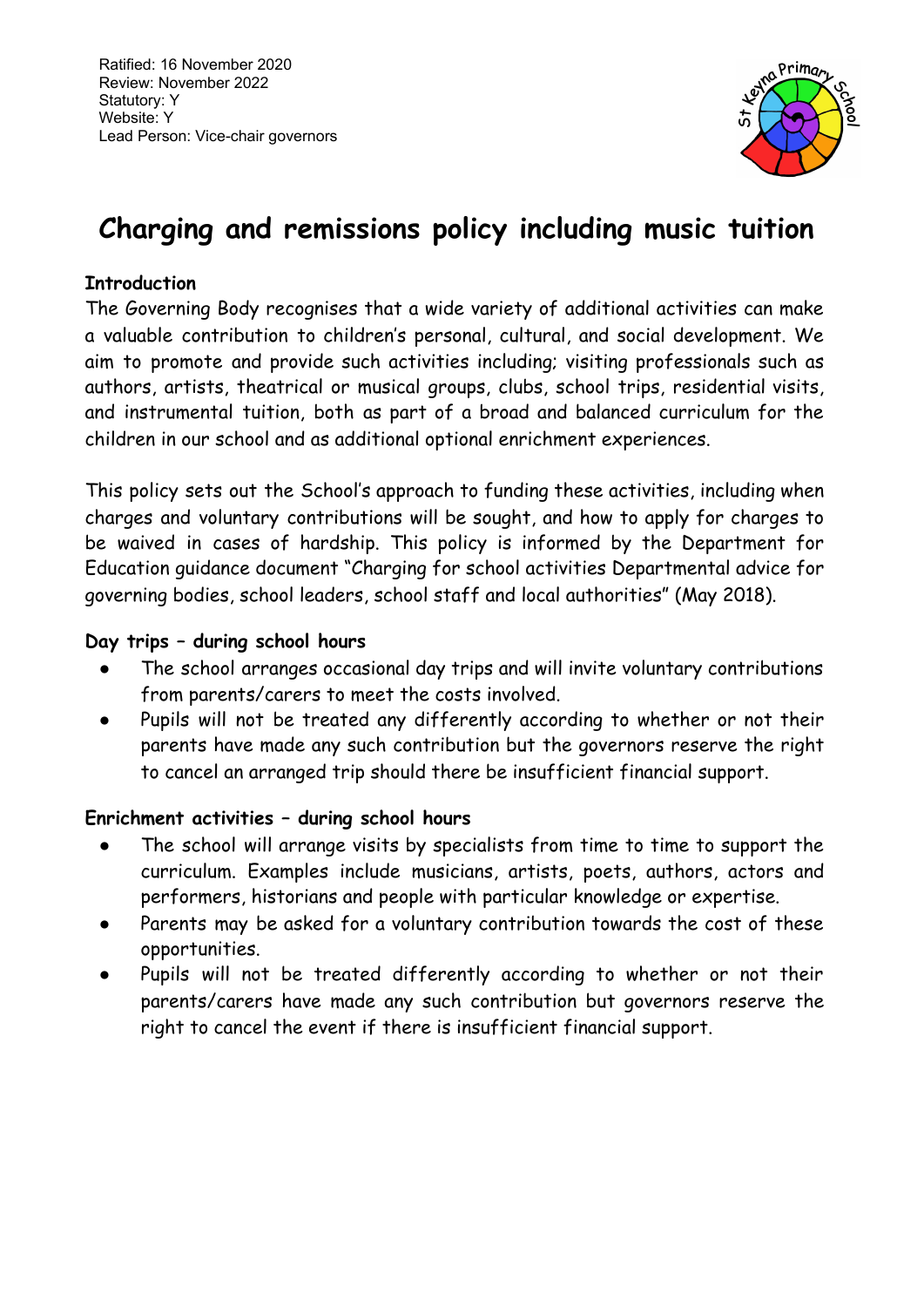

# **Charging and remissions policy including music tuition**

# **Introduction**

The Governing Body recognises that a wide variety of additional activities can make a valuable contribution to children's personal, cultural, and social development. We aim to promote and provide such activities including; visiting professionals such as authors, artists, theatrical or musical groups, clubs, school trips, residential visits, and instrumental tuition, both as part of a broad and balanced curriculum for the children in our school and as additional optional enrichment experiences.

This policy sets out the School's approach to funding these activities, including when charges and voluntary contributions will be sought, and how to apply for charges to be waived in cases of hardship. This policy is informed by the Department for Education guidance document "Charging for school activities Departmental advice for governing bodies, school leaders, school staff and local authorities" (May 2018).

#### **Day trips – during school hours**

- The school arranges occasional day trips and will invite voluntary contributions from parents/carers to meet the costs involved.
- Pupils will not be treated any differently according to whether or not their parents have made any such contribution but the governors reserve the right to cancel an arranged trip should there be insufficient financial support.

#### **Enrichment activities – during school hours**

- The school will arrange visits by specialists from time to time to support the curriculum. Examples include musicians, artists, poets, authors, actors and performers, historians and people with particular knowledge or expertise.
- Parents may be asked for a voluntary contribution towards the cost of these opportunities.
- Pupils will not be treated differently according to whether or not their parents/carers have made any such contribution but governors reserve the right to cancel the event if there is insufficient financial support.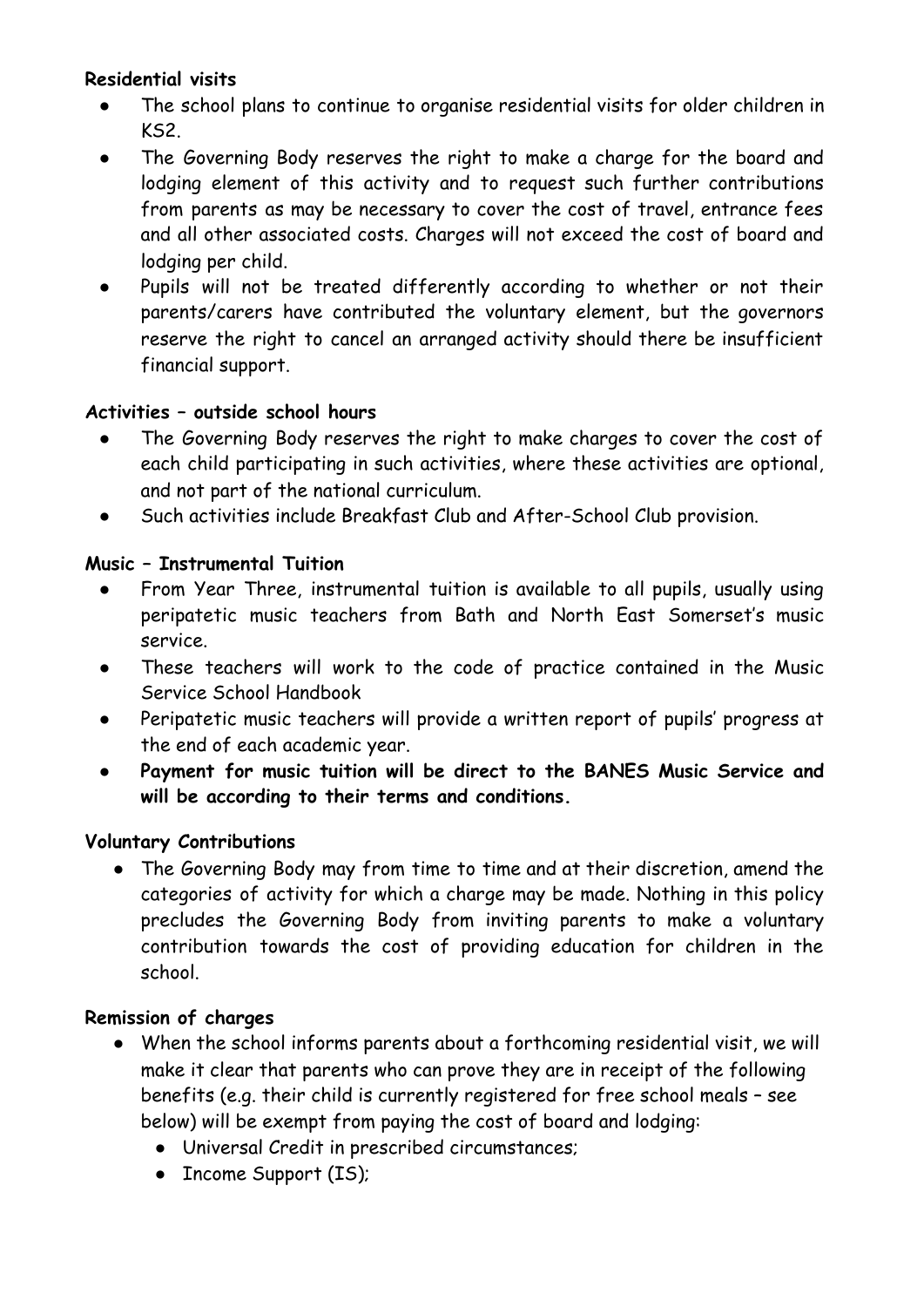# **Residential visits**

- The school plans to continue to organise residential visits for older children in KS2.
- The Governing Body reserves the right to make a charge for the board and lodging element of this activity and to request such further contributions from parents as may be necessary to cover the cost of travel, entrance fees and all other associated costs. Charges will not exceed the cost of board and lodging per child.
- Pupils will not be treated differently according to whether or not their parents/carers have contributed the voluntary element, but the governors reserve the right to cancel an arranged activity should there be insufficient financial support.

#### **Activities – outside school hours**

- The Governing Body reserves the right to make charges to cover the cost of each child participating in such activities, where these activities are optional, and not part of the national curriculum.
- Such activities include Breakfast Club and After-School Club provision.

#### **Music – Instrumental Tuition**

- From Year Three, instrumental tuition is available to all pupils, usually using peripatetic music teachers from Bath and North East Somerset's music service.
- These teachers will work to the code of practice contained in the Music Service School Handbook
- Peripatetic music teachers will provide a written report of pupils' progress at the end of each academic year.
- **Payment for music tuition will be direct to the BANES Music Service and will be according to their terms and conditions.**

# **Voluntary Contributions**

• The Governing Body may from time to time and at their discretion, amend the categories of activity for which a charge may be made. Nothing in this policy precludes the Governing Body from inviting parents to make a voluntary contribution towards the cost of providing education for children in the school.

#### **Remission of charges**

- When the school informs parents about a forthcoming residential visit, we will make it clear that parents who can prove they are in receipt of the following benefits (e.g. their child is currently registered for free school meals – see below) will be exempt from paying the cost of board and lodging:
	- Universal Credit in prescribed circumstances;
	- Income Support (IS);